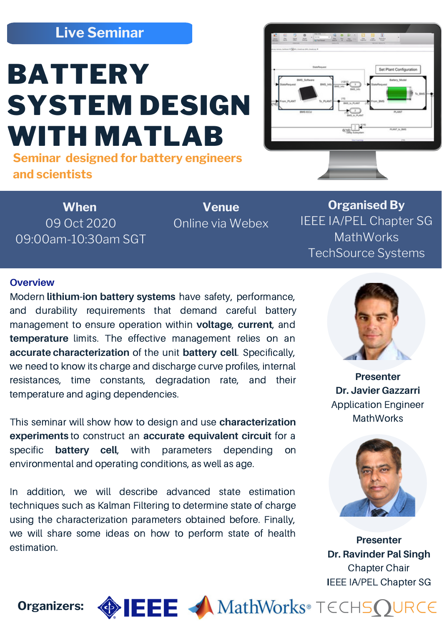## **Live Seminar**

# **BATTERY** SYSTEM DESIGN WITH MATLAB

**Seminar designed for battery engineers and scientists**

 $\overline{\text{arg}}$ 

**When** 09 Oct 2020 09:00am-10:30am SGT

**Venue** Online via Webex

**Organised By** IEEE IA/PEL Chapter SG **MathWorks** TechSource Systems

#### **Overview**

Modern **lithium-ion battery systems** have safety, performance, and durability requirements that demand careful battery management to ensure operation within **voltage**, **current**, and **temperature** limits. The effective management relies on an **accurate characterization** of the unit **battery cell**. Specifically, we need to know its charge and discharge curve profiles, internal resistances, time constants, degradation rate, and their temperature and aging dependencies.

This seminar will show how to design and use **characterization experiments** to construct an **accurate equivalent circuit** for a specific **battery cell**, with parameters depending on environmental and operating conditions, as well as age.

In addition, we will describe advanced state estimation techniques such as Kalman Filtering to determine state of charge using the characterization parameters obtained before. Finally, we will share some ideas on how to perform state of health estimation.



**Presenter Dr. Javier Gazzarri** Application Engineer **MathWorks** 



**Presenter Dr. Ravinder Pal Singh** Chapter Chair **I**EEE IA/PEL Chapter SG

**Organizers:**  $\bigcirc$  **EEE** A MathWorks® TECHSQURCE